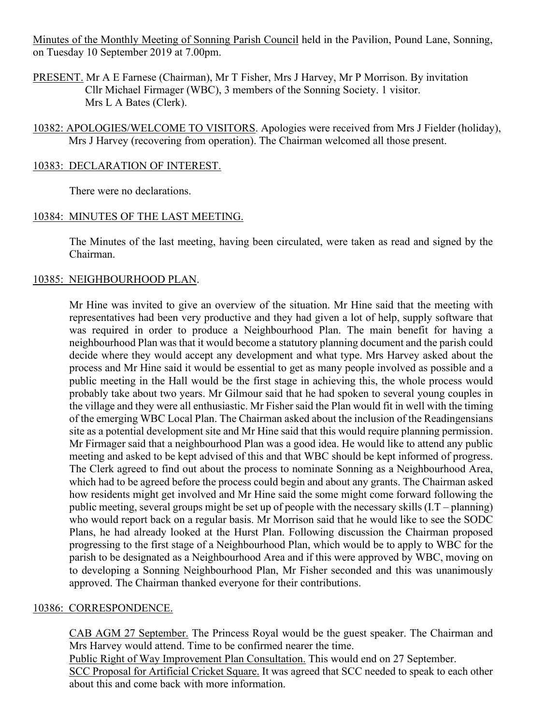Minutes of the Monthly Meeting of Sonning Parish Council held in the Pavilion, Pound Lane, Sonning, on Tuesday 10 September 2019 at 7.00pm.

PRESENT. Mr A E Farnese (Chairman), Mr T Fisher, Mrs J Harvey, Mr P Morrison. By invitation Cllr Michael Firmager (WBC), 3 members of the Sonning Society. 1 visitor. Mrs L A Bates (Clerk).

10382: APOLOGIES/WELCOME TO VISITORS. Apologies were received from Mrs J Fielder (holiday), Mrs J Harvey (recovering from operation). The Chairman welcomed all those present.

#### 10383: DECLARATION OF INTEREST.

There were no declarations.

## 10384: MINUTES OF THE LAST MEETING.

The Minutes of the last meeting, having been circulated, were taken as read and signed by the Chairman.

# 10385: NEIGHBOURHOOD PLAN.

Mr Hine was invited to give an overview of the situation. Mr Hine said that the meeting with representatives had been very productive and they had given a lot of help, supply software that was required in order to produce a Neighbourhood Plan. The main benefit for having a neighbourhood Plan was that it would become a statutory planning document and the parish could decide where they would accept any development and what type. Mrs Harvey asked about the process and Mr Hine said it would be essential to get as many people involved as possible and a public meeting in the Hall would be the first stage in achieving this, the whole process would probably take about two years. Mr Gilmour said that he had spoken to several young couples in the village and they were all enthusiastic. Mr Fisher said the Plan would fit in well with the timing of the emerging WBC Local Plan. The Chairman asked about the inclusion of the Readingensians site as a potential development site and Mr Hine said that this would require planning permission. Mr Firmager said that a neighbourhood Plan was a good idea. He would like to attend any public meeting and asked to be kept advised of this and that WBC should be kept informed of progress. The Clerk agreed to find out about the process to nominate Sonning as a Neighbourhood Area, which had to be agreed before the process could begin and about any grants. The Chairman asked how residents might get involved and Mr Hine said the some might come forward following the public meeting, several groups might be set up of people with the necessary skills (I.T – planning) who would report back on a regular basis. Mr Morrison said that he would like to see the SODC Plans, he had already looked at the Hurst Plan. Following discussion the Chairman proposed progressing to the first stage of a Neighbourhood Plan, which would be to apply to WBC for the parish to be designated as a Neighbourhood Area and if this were approved by WBC, moving on to developing a Sonning Neighbourhood Plan, Mr Fisher seconded and this was unanimously approved. The Chairman thanked everyone for their contributions.

#### 10386: CORRESPONDENCE.

CAB AGM 27 September. The Princess Royal would be the guest speaker. The Chairman and Mrs Harvey would attend. Time to be confirmed nearer the time. Public Right of Way Improvement Plan Consultation. This would end on 27 September. SCC Proposal for Artificial Cricket Square. It was agreed that SCC needed to speak to each other

about this and come back with more information.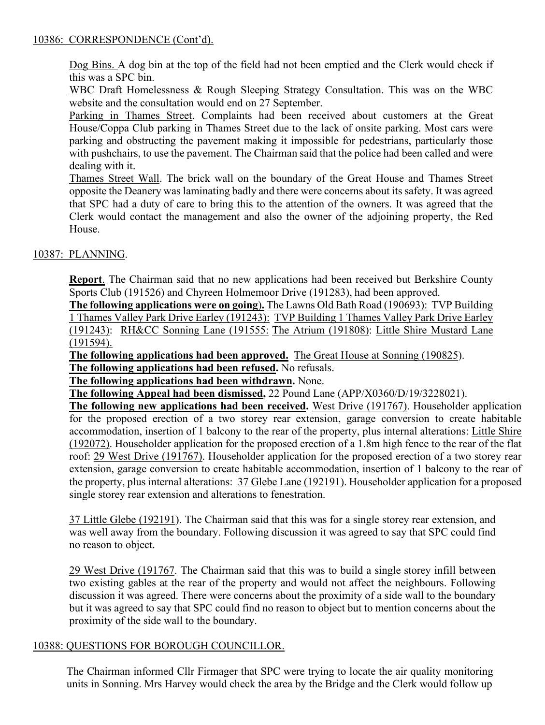## 10386: CORRESPONDENCE (Cont'd).

Dog Bins. A dog bin at the top of the field had not been emptied and the Clerk would check if this was a SPC bin.

WBC Draft Homelessness & Rough Sleeping Strategy Consultation. This was on the WBC website and the consultation would end on 27 September.

Parking in Thames Street. Complaints had been received about customers at the Great House/Coppa Club parking in Thames Street due to the lack of onsite parking. Most cars were parking and obstructing the pavement making it impossible for pedestrians, particularly those with pushchairs, to use the pavement. The Chairman said that the police had been called and were dealing with it.

Thames Street Wall. The brick wall on the boundary of the Great House and Thames Street opposite the Deanery was laminating badly and there were concerns about its safety. It was agreed that SPC had a duty of care to bring this to the attention of the owners. It was agreed that the Clerk would contact the management and also the owner of the adjoining property, the Red House.

# 10387: PLANNING.

**Report**. The Chairman said that no new applications had been received but Berkshire County Sports Club (191526) and Chyreen Holmemoor Drive (191283), had been approved.

**The following applications were on going**)**.** The Lawns Old Bath Road (190693): TVP Building 1 Thames Valley Park Drive Earley (191243): TVP Building 1 Thames Valley Park Drive Earley (191243): RH&CC Sonning Lane (191555: The Atrium (191808): Little Shire Mustard Lane (191594).

**The following applications had been approved.** The Great House at Sonning (190825).

**The following applications had been refused.** No refusals.

**The following applications had been withdrawn.** None.

**The following Appeal had been dismissed,** 22 Pound Lane (APP/X0360/D/19/3228021).

**The following new applications had been received.** West Drive (191767). Householder application for the proposed erection of a two storey rear extension, garage conversion to create habitable accommodation, insertion of 1 balcony to the rear of the property, plus internal alterations: Little Shire (192072). Householder application for the proposed erection of a 1.8m high fence to the rear of the flat roof: 29 West Drive (191767). Householder application for the proposed erection of a two storey rear extension, garage conversion to create habitable accommodation, insertion of 1 balcony to the rear of the property, plus internal alterations: 37 Glebe Lane (192191). Householder application for a proposed single storey rear extension and alterations to fenestration.

37 Little Glebe (192191). The Chairman said that this was for a single storey rear extension, and was well away from the boundary. Following discussion it was agreed to say that SPC could find no reason to object.

29 West Drive (191767. The Chairman said that this was to build a single storey infill between two existing gables at the rear of the property and would not affect the neighbours. Following discussion it was agreed. There were concerns about the proximity of a side wall to the boundary but it was agreed to say that SPC could find no reason to object but to mention concerns about the proximity of the side wall to the boundary.

#### 10388: QUESTIONS FOR BOROUGH COUNCILLOR.

The Chairman informed Cllr Firmager that SPC were trying to locate the air quality monitoring units in Sonning. Mrs Harvey would check the area by the Bridge and the Clerk would follow up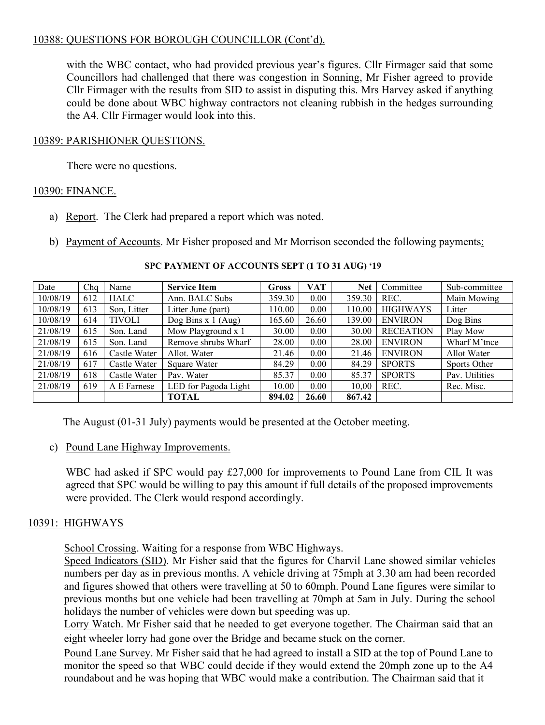# 10388: QUESTIONS FOR BOROUGH COUNCILLOR (Cont'd).

with the WBC contact, who had provided previous year's figures. Cllr Firmager said that some Councillors had challenged that there was congestion in Sonning, Mr Fisher agreed to provide Cllr Firmager with the results from SID to assist in disputing this. Mrs Harvey asked if anything could be done about WBC highway contractors not cleaning rubbish in the hedges surrounding the A4. Cllr Firmager would look into this.

# 10389: PARISHIONER QUESTIONS.

There were no questions.

## 10390: FINANCE.

- a) Report. The Clerk had prepared a report which was noted.
- b) Payment of Accounts. Mr Fisher proposed and Mr Morrison seconded the following payments:

| Date     | Cha | Name          | <b>Service Item</b>  | <b>Gross</b> | <b>VAT</b> | <b>Net</b> | Committee        | Sub-committee  |
|----------|-----|---------------|----------------------|--------------|------------|------------|------------------|----------------|
| 10/08/19 | 612 | <b>HALC</b>   | Ann. BALC Subs       | 359.30       | 0.00       | 359.30     | REC.             | Main Mowing    |
| 10/08/19 | 613 | Son, Litter   | Litter June (part)   | 110.00       | 0.00       | 110.00     | <b>HIGHWAYS</b>  | Litter         |
| 10/08/19 | 614 | <b>TIVOLI</b> | Dog Bins x $1$ (Aug) | 165.60       | 26.60      | 139.00     | <b>ENVIRON</b>   | Dog Bins       |
| 21/08/19 | 615 | Son. Land     | Mow Playground x 1   | 30.00        | 0.00       | 30.00      | <b>RECEATION</b> | Play Mow       |
| 21/08/19 | 615 | Son. Land     | Remove shrubs Wharf  | 28.00        | 0.00       | 28.00      | <b>ENVIRON</b>   | Wharf M'tnce   |
| 21/08/19 | 616 | Castle Water  | Allot. Water         | 21.46        | 0.00       | 21.46      | <b>ENVIRON</b>   | Allot Water    |
| 21/08/19 | 617 | Castle Water  | Square Water         | 84.29        | 0.00       | 84.29      | <b>SPORTS</b>    | Sports Other   |
| 21/08/19 | 618 | Castle Water  | Pav. Water           | 85.37        | 0.00       | 85.37      | <b>SPORTS</b>    | Pav. Utilities |
| 21/08/19 | 619 | A E Farnese   | LED for Pagoda Light | 10.00        | 0.00       | 10.00      | REC.             | Rec. Misc.     |
|          |     |               | TOTAL                | 894.02       | 26.60      | 867.42     |                  |                |

**SPC PAYMENT OF ACCOUNTS SEPT (1 TO 31 AUG) '19**

The August (01-31 July) payments would be presented at the October meeting.

c) Pound Lane Highway Improvements.

WBC had asked if SPC would pay £27,000 for improvements to Pound Lane from CIL It was agreed that SPC would be willing to pay this amount if full details of the proposed improvements were provided. The Clerk would respond accordingly.

# 10391: HIGHWAYS

School Crossing. Waiting for a response from WBC Highways.

Speed Indicators (SID). Mr Fisher said that the figures for Charvil Lane showed similar vehicles numbers per day as in previous months. A vehicle driving at 75mph at 3.30 am had been recorded and figures showed that others were travelling at 50 to 60mph. Pound Lane figures were similar to previous months but one vehicle had been travelling at 70mph at 5am in July. During the school holidays the number of vehicles were down but speeding was up.

Lorry Watch. Mr Fisher said that he needed to get everyone together. The Chairman said that an eight wheeler lorry had gone over the Bridge and became stuck on the corner.

Pound Lane Survey. Mr Fisher said that he had agreed to install a SID at the top of Pound Lane to monitor the speed so that WBC could decide if they would extend the 20mph zone up to the A4 roundabout and he was hoping that WBC would make a contribution. The Chairman said that it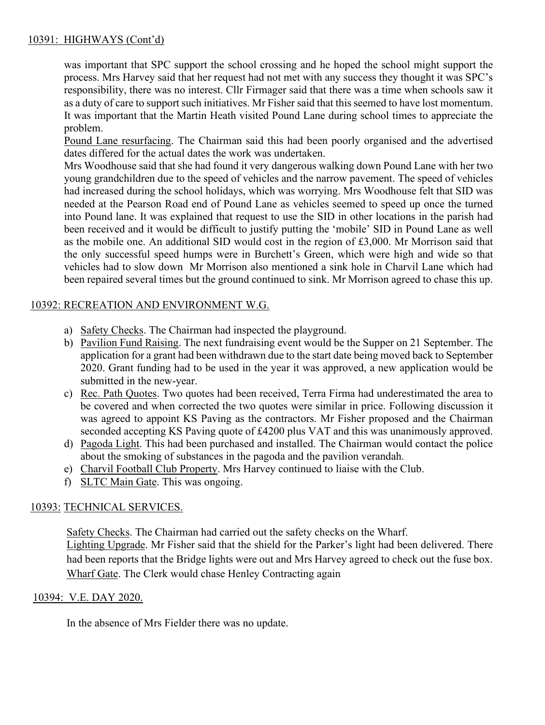# 10391: HIGHWAYS (Cont'd)

was important that SPC support the school crossing and he hoped the school might support the process. Mrs Harvey said that her request had not met with any success they thought it was SPC's responsibility, there was no interest. Cllr Firmager said that there was a time when schools saw it as a duty of care to support such initiatives. Mr Fisher said that this seemed to have lost momentum. It was important that the Martin Heath visited Pound Lane during school times to appreciate the problem.

Pound Lane resurfacing. The Chairman said this had been poorly organised and the advertised dates differed for the actual dates the work was undertaken.

Mrs Woodhouse said that she had found it very dangerous walking down Pound Lane with her two young grandchildren due to the speed of vehicles and the narrow pavement. The speed of vehicles had increased during the school holidays, which was worrying. Mrs Woodhouse felt that SID was needed at the Pearson Road end of Pound Lane as vehicles seemed to speed up once the turned into Pound lane. It was explained that request to use the SID in other locations in the parish had been received and it would be difficult to justify putting the 'mobile' SID in Pound Lane as well as the mobile one. An additional SID would cost in the region of £3,000. Mr Morrison said that the only successful speed humps were in Burchett's Green, which were high and wide so that vehicles had to slow down Mr Morrison also mentioned a sink hole in Charvil Lane which had been repaired several times but the ground continued to sink. Mr Morrison agreed to chase this up.

# 10392: RECREATION AND ENVIRONMENT W.G.

- a) Safety Checks. The Chairman had inspected the playground.
- b) Pavilion Fund Raising. The next fundraising event would be the Supper on 21 September. The application for a grant had been withdrawn due to the start date being moved back to September 2020. Grant funding had to be used in the year it was approved, a new application would be submitted in the new-year.
- c) Rec. Path Quotes. Two quotes had been received, Terra Firma had underestimated the area to be covered and when corrected the two quotes were similar in price. Following discussion it was agreed to appoint KS Paving as the contractors. Mr Fisher proposed and the Chairman seconded accepting KS Paving quote of £4200 plus VAT and this was unanimously approved.
- d) Pagoda Light. This had been purchased and installed. The Chairman would contact the police about the smoking of substances in the pagoda and the pavilion verandah.
- e) Charvil Football Club Property. Mrs Harvey continued to liaise with the Club.
- f) SLTC Main Gate. This was ongoing.

#### 10393: TECHNICAL SERVICES.

Safety Checks. The Chairman had carried out the safety checks on the Wharf. Lighting Upgrade. Mr Fisher said that the shield for the Parker's light had been delivered. There had been reports that the Bridge lights were out and Mrs Harvey agreed to check out the fuse box. Wharf Gate. The Clerk would chase Henley Contracting again

#### 10394: V.E. DAY 2020.

In the absence of Mrs Fielder there was no update.